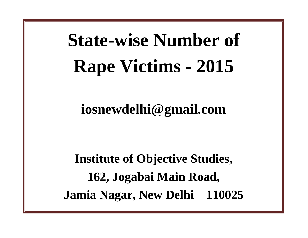## **State-wise Number of Rape Victims - 2015**

**iosnewdelhi@gmail.com**

**Institute of Objective Studies, 162, Jogabai Main Road, Jamia Nagar, New Delhi – 110025**